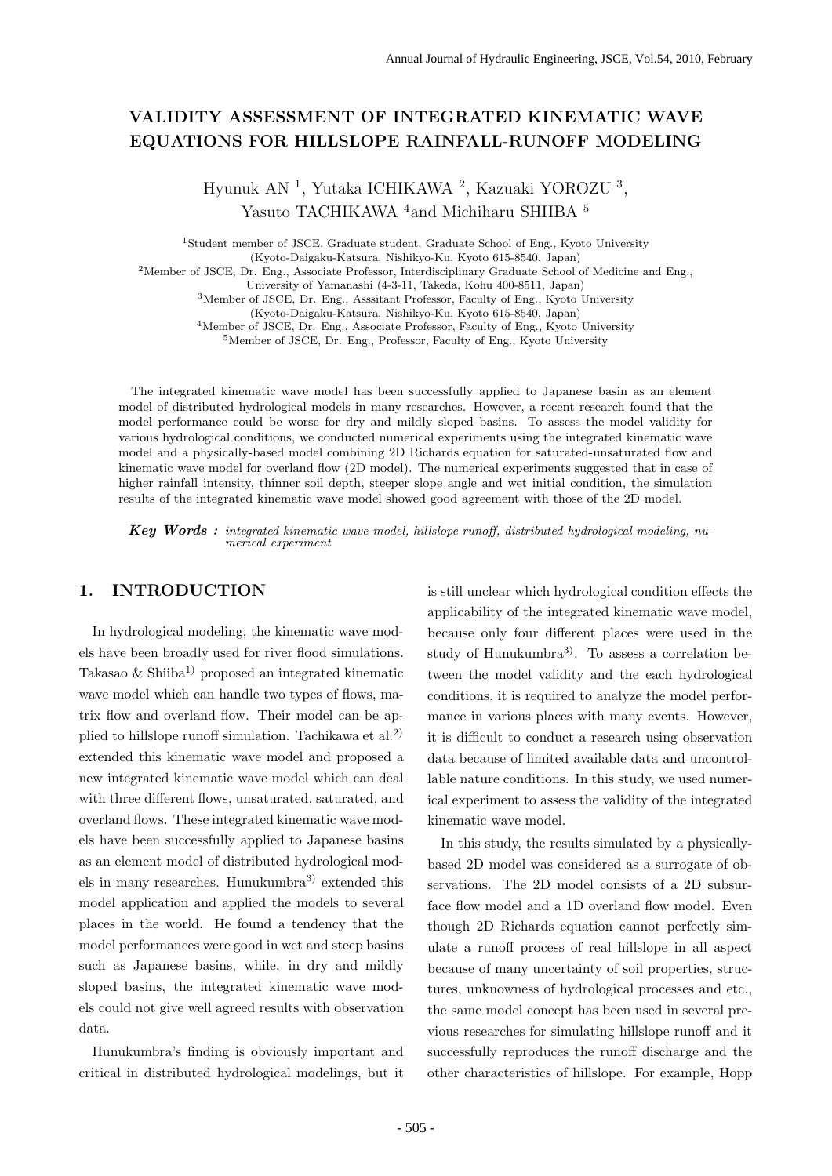# **VALIDITY ASSESSMENT OF INTEGRATED KINEMATIC WAVE EQUATIONS FOR HILLSLOPE RAINFALL-RUNOFF MODELING**

Hyunuk AN <sup>1</sup>, Yutaka ICHIKAWA <sup>2</sup>, Kazuaki YOROZU <sup>3</sup>, Yasuto TACHIKAWA <sup>4</sup> and Michiharu SHIIBA <sup>5</sup>

<sup>1</sup>Student member of JSCE, Graduate student, Graduate School of Eng., Kyoto University

(Kyoto-Daigaku-Katsura, Nishikyo-Ku, Kyoto 615-8540, Japan)

<sup>2</sup>Member of JSCE, Dr. Eng., Associate Professor, Interdisciplinary Graduate School of Medicine and Eng.,

University of Yamanashi (4-3-11, Takeda, Kohu 400-8511, Japan)

<sup>3</sup>Member of JSCE, Dr. Eng., Asssitant Professor, Faculty of Eng., Kyoto University

(Kyoto-Daigaku-Katsura, Nishikyo-Ku, Kyoto 615-8540, Japan)

<sup>4</sup>Member of JSCE, Dr. Eng., Associate Professor, Faculty of Eng., Kyoto University

<sup>5</sup>Member of JSCE, Dr. Eng., Professor, Faculty of Eng., Kyoto University

The integrated kinematic wave model has been successfully applied to Japanese basin as an element model of distributed hydrological models in many researches. However, a recent research found that the model performance could be worse for dry and mildly sloped basins. To assess the model validity for various hydrological conditions, we conducted numerical experiments using the integrated kinematic wave model and a physically-based model combining 2D Richards equation for saturated-unsaturated flow and kinematic wave model for overland flow (2D model). The numerical experiments suggested that in case of higher rainfall intensity, thinner soil depth, steeper slope angle and wet initial condition, the simulation results of the integrated kinematic wave model showed good agreement with those of the 2D model.

*Key Words :* integrated kinematic wave model, hillslope runoff, distributed hydrological modeling, numerical experiment

## **1. INTRODUCTION**

In hydrological modeling, the kinematic wave models have been broadly used for river flood simulations. Takasao  $\&$  Shiiba<sup>1)</sup> proposed an integrated kinematic wave model which can handle two types of flows, matrix flow and overland flow. Their model can be applied to hillslope runoff simulation. Tachikawa et al.<sup>2)</sup> extended this kinematic wave model and proposed a new integrated kinematic wave model which can deal with three different flows, unsaturated, saturated, and overland flows. These integrated kinematic wave models have been successfully applied to Japanese basins as an element model of distributed hydrological models in many researches. Hunukumbra3) extended this model application and applied the models to several places in the world. He found a tendency that the model performances were good in wet and steep basins such as Japanese basins, while, in dry and mildly sloped basins, the integrated kinematic wave models could not give well agreed results with observation data.

Hunukumbra's finding is obviously important and critical in distributed hydrological modelings, but it is still unclear which hydrological condition effects the applicability of the integrated kinematic wave model, because only four different places were used in the study of Hunukumbra<sup>3)</sup>. To assess a correlation between the model validity and the each hydrological conditions, it is required to analyze the model performance in various places with many events. However, it is difficult to conduct a research using observation data because of limited available data and uncontrollable nature conditions. In this study, we used numerical experiment to assess the validity of the integrated kinematic wave model.

In this study, the results simulated by a physicallybased 2D model was considered as a surrogate of observations. The 2D model consists of a 2D subsurface flow model and a 1D overland flow model. Even though 2D Richards equation cannot perfectly simulate a runoff process of real hillslope in all aspect because of many uncertainty of soil properties, structures, unknowness of hydrological processes and etc., the same model concept has been used in several previous researches for simulating hillslope runoff and it successfully reproduces the runoff discharge and the other characteristics of hillslope. For example, Hopp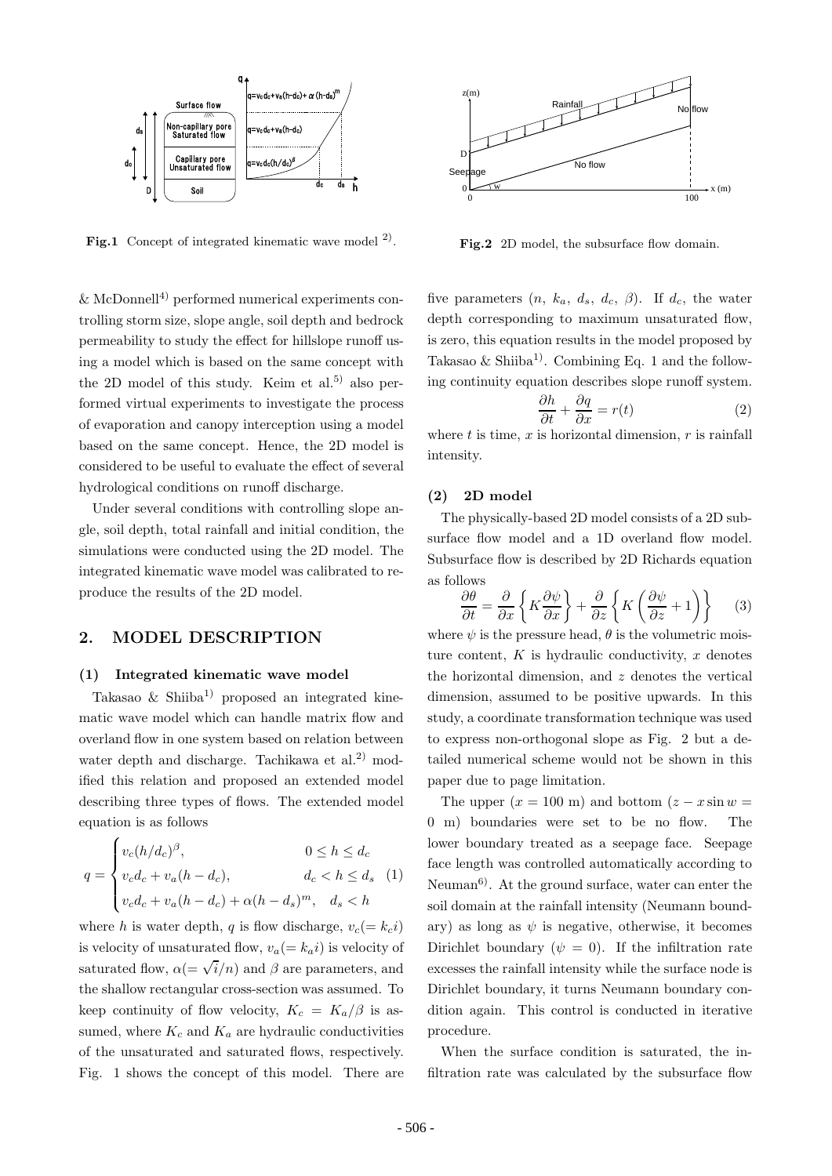

**Fig.1** Concept of integrated kinematic wave model  $^{2}$ .

 $\&$  McDonnell<sup>4)</sup> performed numerical experiments controlling storm size, slope angle, soil depth and bedrock permeability to study the effect for hillslope runoff using a model which is based on the same concept with the 2D model of this study. Keim et al.<sup>5)</sup> also performed virtual experiments to investigate the process of evaporation and canopy interception using a model based on the same concept. Hence, the 2D model is considered to be useful to evaluate the effect of several hydrological conditions on runoff discharge.

Under several conditions with controlling slope angle, soil depth, total rainfall and initial condition, the simulations were conducted using the 2D model. The integrated kinematic wave model was calibrated to reproduce the results of the 2D model.

### **2. MODEL DESCRIPTION**

### **(1) Integrated kinematic wave model**

Takasao  $\&$  Shiiba<sup>1)</sup> proposed an integrated kinematic wave model which can handle matrix flow and overland flow in one system based on relation between water depth and discharge. Tachikawa et al.<sup>2)</sup> modified this relation and proposed an extended model describing three types of flows. The extended model equation is as follows

$$
q = \begin{cases} v_c (h/d_c)^{\beta}, & 0 \le h \le d_c \\ v_c d_c + v_a (h - d_c), & d_c < h \le d_s \\ v_c d_c + v_a (h - d_c) + \alpha (h - d_s)^m, & d_s < h \end{cases}
$$
 (1)

where h is water depth, q is flow discharge,  $v_c (= k_c i)$ is velocity of unsaturated flow,  $v_a (= k_a i)$  is velocity of saturated flow,  $\alpha$ (=  $\sqrt{i}/n$ ) and  $\beta$  are parameters, and the shallow rectangular cross-section was assumed. To keep continuity of flow velocity,  $K_c = K_a/\beta$  is assumed, where  $K_c$  and  $K_a$  are hydraulic conductivities of the unsaturated and saturated flows, respectively. Fig. 1 shows the concept of this model. There are



Fig.2 2D model, the subsurface flow domain.

five parameters  $(n, k_a, d_s, d_c, \beta)$ . If  $d_c$ , the water depth corresponding to maximum unsaturated flow, is zero, this equation results in the model proposed by Takasao & Shiiba<sup>1)</sup>. Combining Eq. 1 and the following continuity equation describes slope runoff system.

$$
\frac{\partial h}{\partial t} + \frac{\partial q}{\partial x} = r(t) \tag{2}
$$

where  $t$  is time,  $x$  is horizontal dimension,  $r$  is rainfall intensity.

### **(2) 2D model**

The physically-based 2D model consists of a 2D subsurface flow model and a 1D overland flow model. Subsurface flow is described by 2D Richards equation as follows

$$
\frac{\partial \theta}{\partial t} = \frac{\partial}{\partial x} \left\{ K \frac{\partial \psi}{\partial x} \right\} + \frac{\partial}{\partial z} \left\{ K \left( \frac{\partial \psi}{\partial z} + 1 \right) \right\} \tag{3}
$$

where  $\psi$  is the pressure head,  $\theta$  is the volumetric moisture content,  $K$  is hydraulic conductivity,  $x$  denotes the horizontal dimension, and  $z$  denotes the vertical dimension, assumed to be positive upwards. In this study, a coordinate transformation technique was used to express non-orthogonal slope as Fig. 2 but a detailed numerical scheme would not be shown in this paper due to page limitation.

The upper  $(x = 100 \text{ m})$  and bottom  $(z - x \sin w)$ 0 m) boundaries were set to be no flow. The lower boundary treated as a seepage face. Seepage face length was controlled automatically according to Neuman<sup>6)</sup>. At the ground surface, water can enter the soil domain at the rainfall intensity (Neumann boundary) as long as  $\psi$  is negative, otherwise, it becomes Dirichlet boundary ( $\psi = 0$ ). If the infiltration rate excesses the rainfall intensity while the surface node is Dirichlet boundary, it turns Neumann boundary condition again. This control is conducted in iterative procedure.

When the surface condition is saturated, the infiltration rate was calculated by the subsurface flow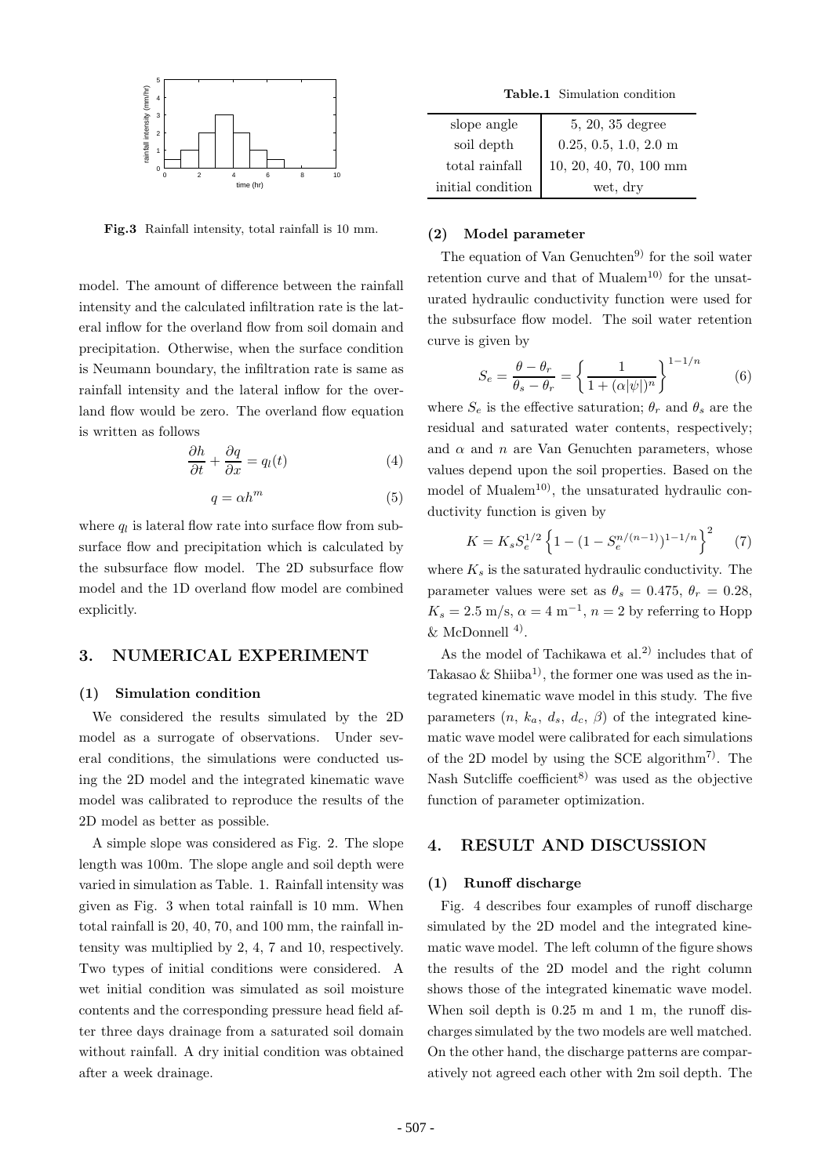

**Fig.3** Rainfall intensity, total rainfall is 10 mm.

model. The amount of difference between the rainfall intensity and the calculated infiltration rate is the lateral inflow for the overland flow from soil domain and precipitation. Otherwise, when the surface condition is Neumann boundary, the infiltration rate is same as rainfall intensity and the lateral inflow for the overland flow would be zero. The overland flow equation is written as follows

$$
\frac{\partial h}{\partial t} + \frac{\partial q}{\partial x} = q_l(t) \tag{4}
$$

$$
q = \alpha h^m \tag{5}
$$

where  $q_l$  is lateral flow rate into surface flow from subsurface flow and precipitation which is calculated by the subsurface flow model. The 2D subsurface flow model and the 1D overland flow model are combined explicitly.

## **3. NUMERICAL EXPERIMENT**

## **(1) Simulation condition**

We considered the results simulated by the 2D model as a surrogate of observations. Under several conditions, the simulations were conducted using the 2D model and the integrated kinematic wave model was calibrated to reproduce the results of the 2D model as better as possible.

A simple slope was considered as Fig. 2. The slope length was 100m. The slope angle and soil depth were varied in simulation as Table. 1. Rainfall intensity was given as Fig. 3 when total rainfall is 10 mm. When total rainfall is 20, 40, 70, and 100 mm, the rainfall intensity was multiplied by 2, 4, 7 and 10, respectively. Two types of initial conditions were considered. A wet initial condition was simulated as soil moisture contents and the corresponding pressure head field after three days drainage from a saturated soil domain without rainfall. A dry initial condition was obtained after a week drainage.

**Table.1** Simulation condition

| slope angle       | 5, 20, 35 degree         |
|-------------------|--------------------------|
| soil depth        | $0.25, 0.5, 1.0, 2.0$ m  |
| total rainfall    | $10, 20, 40, 70, 100$ mm |
| initial condition | wet, dry                 |

#### **(2) Model parameter**

The equation of Van Genuchten<sup>9)</sup> for the soil water retention curve and that of Mualem<sup>10)</sup> for the unsaturated hydraulic conductivity function were used for the subsurface flow model. The soil water retention curve is given by

$$
S_e = \frac{\theta - \theta_r}{\theta_s - \theta_r} = \left\{ \frac{1}{1 + (\alpha |\psi|)^n} \right\}^{1 - 1/n}
$$
 (6)

where  $S_e$  is the effective saturation;  $\theta_r$  and  $\theta_s$  are the residual and saturated water contents, respectively; and  $\alpha$  and  $n$  are Van Genuchten parameters, whose values depend upon the soil properties. Based on the model of Mualem<sup>10)</sup>, the unsaturated hydraulic conductivity function is given by

$$
K = K_s S_e^{1/2} \left\{ 1 - (1 - S_e^{n/(n-1)})^{1-1/n} \right\}^2 \tag{7}
$$

where  $K_s$  is the saturated hydraulic conductivity. The parameter values were set as  $\theta_s = 0.475$ ,  $\theta_r = 0.28$ ,  $K_s = 2.5$  m/s,  $\alpha = 4$  m<sup>-1</sup>,  $n = 2$  by referring to Hopp  $&$  McDonnell  $<sup>4</sup>$ .</sup>

As the model of Tachikawa et al.<sup>2)</sup> includes that of Takasao & Shiiba<sup>1</sup>, the former one was used as the integrated kinematic wave model in this study. The five parameters  $(n, k_a, d_s, d_c, \beta)$  of the integrated kinematic wave model were calibrated for each simulations of the 2D model by using the SCE algorithm<sup>7</sup>. The Nash Sutcliffe coefficient<sup>8)</sup> was used as the objective function of parameter optimization.

### **4. RESULT AND DISCUSSION**

### **(1) Runoff discharge**

Fig. 4 describes four examples of runoff discharge simulated by the 2D model and the integrated kinematic wave model. The left column of the figure shows the results of the 2D model and the right column shows those of the integrated kinematic wave model. When soil depth is  $0.25$  m and 1 m, the runoff discharges simulated by the two models are well matched. On the other hand, the discharge patterns are comparatively not agreed each other with 2m soil depth. The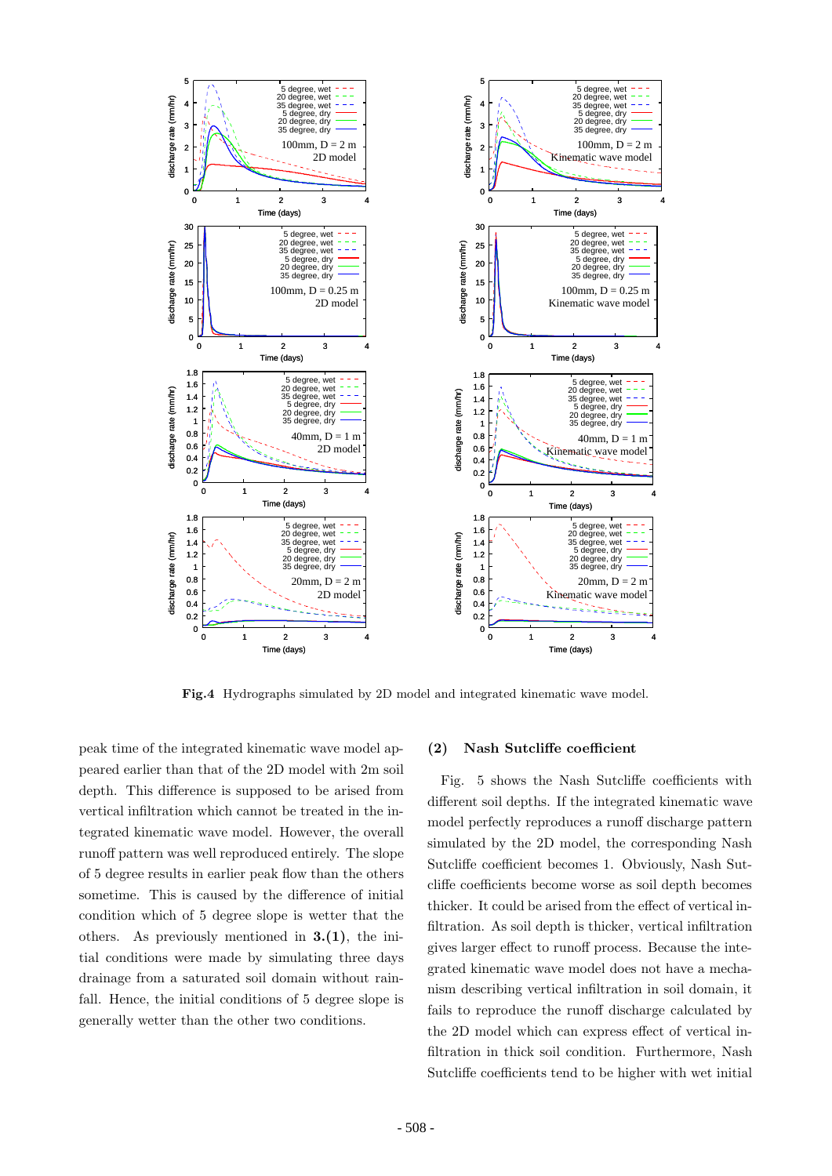

**Fig.4** Hydrographs simulated by 2D model and integrated kinematic wave model.

peak time of the integrated kinematic wave model appeared earlier than that of the 2D model with 2m soil depth. This difference is supposed to be arised from vertical infiltration which cannot be treated in the integrated kinematic wave model. However, the overall runoff pattern was well reproduced entirely. The slope of 5 degree results in earlier peak flow than the others sometime. This is caused by the difference of initial condition which of 5 degree slope is wetter that the others. As previously mentioned in **3.(1)**, the initial conditions were made by simulating three days drainage from a saturated soil domain without rainfall. Hence, the initial conditions of 5 degree slope is generally wetter than the other two conditions.

#### **(2) Nash Sutcliffe coefficient**

Fig. 5 shows the Nash Sutcliffe coefficients with different soil depths. If the integrated kinematic wave model perfectly reproduces a runoff discharge pattern simulated by the 2D model, the corresponding Nash Sutcliffe coefficient becomes 1. Obviously, Nash Sutcliffe coefficients become worse as soil depth becomes thicker. It could be arised from the effect of vertical infiltration. As soil depth is thicker, vertical infiltration gives larger effect to runoff process. Because the integrated kinematic wave model does not have a mechanism describing vertical infiltration in soil domain, it fails to reproduce the runoff discharge calculated by the 2D model which can express effect of vertical infiltration in thick soil condition. Furthermore, Nash Sutcliffe coefficients tend to be higher with wet initial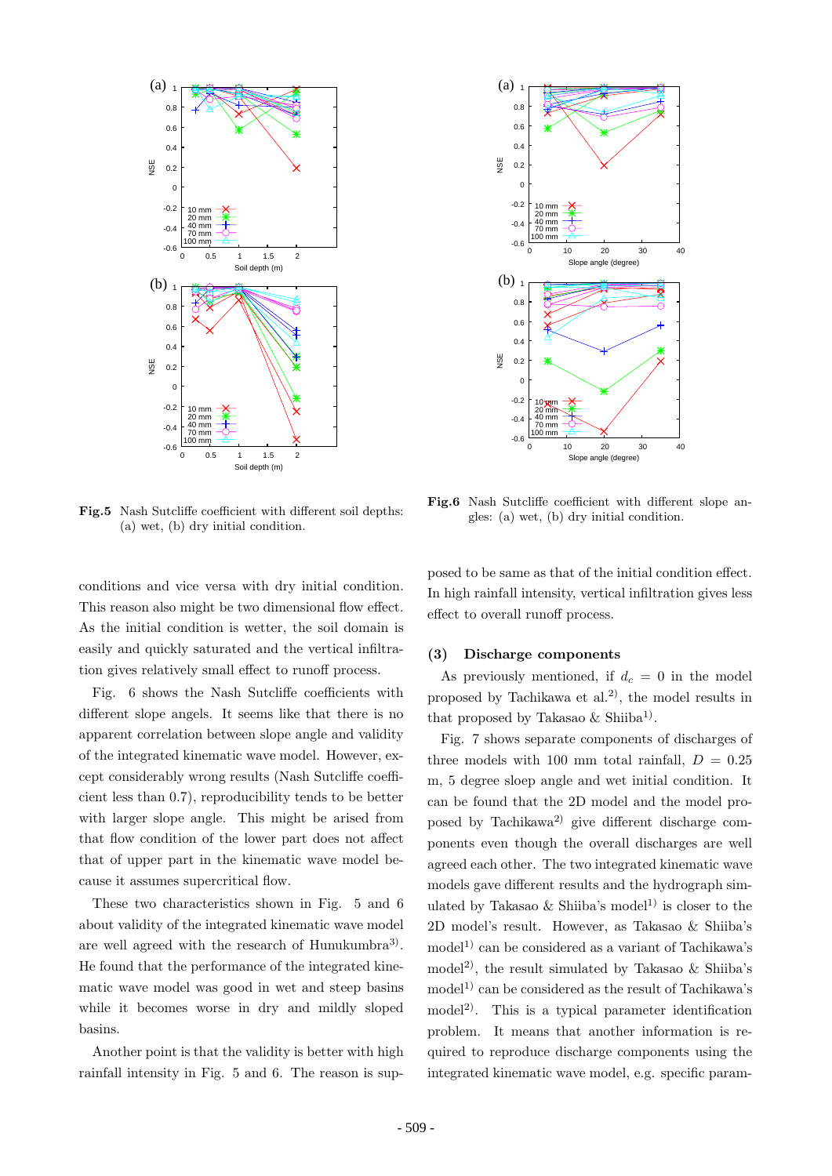

**Fig.5** Nash Sutcliffe coefficient with different soil depths: (a) wet, (b) dry initial condition.

conditions and vice versa with dry initial condition. This reason also might be two dimensional flow effect. As the initial condition is wetter, the soil domain is easily and quickly saturated and the vertical infiltration gives relatively small effect to runoff process.

Fig. 6 shows the Nash Sutcliffe coefficients with different slope angels. It seems like that there is no apparent correlation between slope angle and validity of the integrated kinematic wave model. However, except considerably wrong results (Nash Sutcliffe coefficient less than 0.7), reproducibility tends to be better with larger slope angle. This might be arised from that flow condition of the lower part does not affect that of upper part in the kinematic wave model because it assumes supercritical flow.

These two characteristics shown in Fig. 5 and 6 about validity of the integrated kinematic wave model are well agreed with the research of Hunukumbra<sup>3)</sup>. He found that the performance of the integrated kinematic wave model was good in wet and steep basins while it becomes worse in dry and mildly sloped basins.

Another point is that the validity is better with high rainfall intensity in Fig. 5 and 6. The reason is sup-



**Fig.6** Nash Sutcliffe coefficient with different slope angles: (a) wet, (b) dry initial condition.

posed to be same as that of the initial condition effect. In high rainfall intensity, vertical infiltration gives less effect to overall runoff process.

## **(3) Discharge components**

As previously mentioned, if  $d_c = 0$  in the model proposed by Tachikawa et al.<sup>2)</sup>, the model results in that proposed by Takasao  $\&$  Shiiba<sup>1</sup>).

Fig. 7 shows separate components of discharges of three models with 100 mm total rainfall,  $D = 0.25$ m, 5 degree sloep angle and wet initial condition. It can be found that the 2D model and the model proposed by Tachikawa<sup>2)</sup> give different discharge components even though the overall discharges are well agreed each other. The two integrated kinematic wave models gave different results and the hydrograph simulated by Takasao & Shiiba's model<sup>1)</sup> is closer to the 2D model's result. However, as Takasao & Shiiba's  $\text{model}^{1}$  can be considered as a variant of Tachikawa's model<sup>2)</sup>, the result simulated by Takasao  $\&$  Shiiba's model<sup>1)</sup> can be considered as the result of Tachikawa's model<sup>2)</sup>. This is a typical parameter identification problem. It means that another information is required to reproduce discharge components using the integrated kinematic wave model, e.g. specific param-